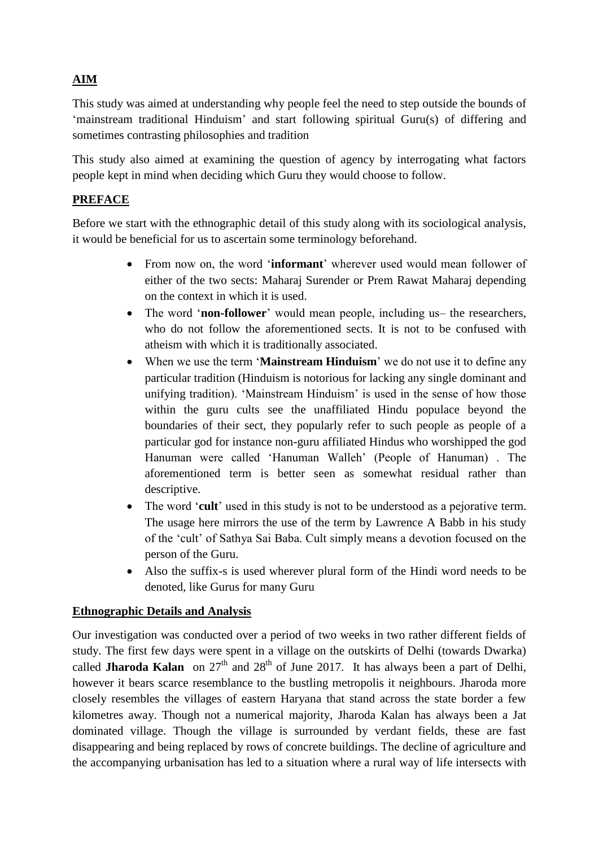# **AIM**

This study was aimed at understanding why people feel the need to step outside the bounds of 'mainstream traditional Hinduism' and start following spiritual Guru(s) of differing and sometimes contrasting philosophies and tradition

This study also aimed at examining the question of agency by interrogating what factors people kept in mind when deciding which Guru they would choose to follow.

## **PREFACE**

Before we start with the ethnographic detail of this study along with its sociological analysis, it would be beneficial for us to ascertain some terminology beforehand.

- From now on, the word '**informant**' wherever used would mean follower of either of the two sects: Maharaj Surender or Prem Rawat Maharaj depending on the context in which it is used.
- The word '**non-follower**' would mean people, including us– the researchers, who do not follow the aforementioned sects. It is not to be confused with atheism with which it is traditionally associated.
- When we use the term '**Mainstream Hinduism**' we do not use it to define any particular tradition (Hinduism is notorious for lacking any single dominant and unifying tradition). 'Mainstream Hinduism' is used in the sense of how those within the guru cults see the unaffiliated Hindu populace beyond the boundaries of their sect, they popularly refer to such people as people of a particular god for instance non-guru affiliated Hindus who worshipped the god Hanuman were called 'Hanuman Walleh' (People of Hanuman) . The aforementioned term is better seen as somewhat residual rather than descriptive.
- The word '**cult**' used in this study is not to be understood as a pejorative term. The usage here mirrors the use of the term by Lawrence A Babb in his study of the 'cult' of Sathya Sai Baba. Cult simply means a devotion focused on the person of the Guru.
- Also the suffix-s is used wherever plural form of the Hindi word needs to be denoted, like Gurus for many Guru

## **Ethnographic Details and Analysis**

Our investigation was conducted over a period of two weeks in two rather different fields of study. The first few days were spent in a village on the outskirts of Delhi (towards Dwarka) called **Jharoda Kalan** on  $27<sup>th</sup>$  and  $28<sup>th</sup>$  of June 2017. It has always been a part of Delhi, however it bears scarce resemblance to the bustling metropolis it neighbours. Jharoda more closely resembles the villages of eastern Haryana that stand across the state border a few kilometres away. Though not a numerical majority, Jharoda Kalan has always been a Jat dominated village. Though the village is surrounded by verdant fields, these are fast disappearing and being replaced by rows of concrete buildings. The decline of agriculture and the accompanying urbanisation has led to a situation where a rural way of life intersects with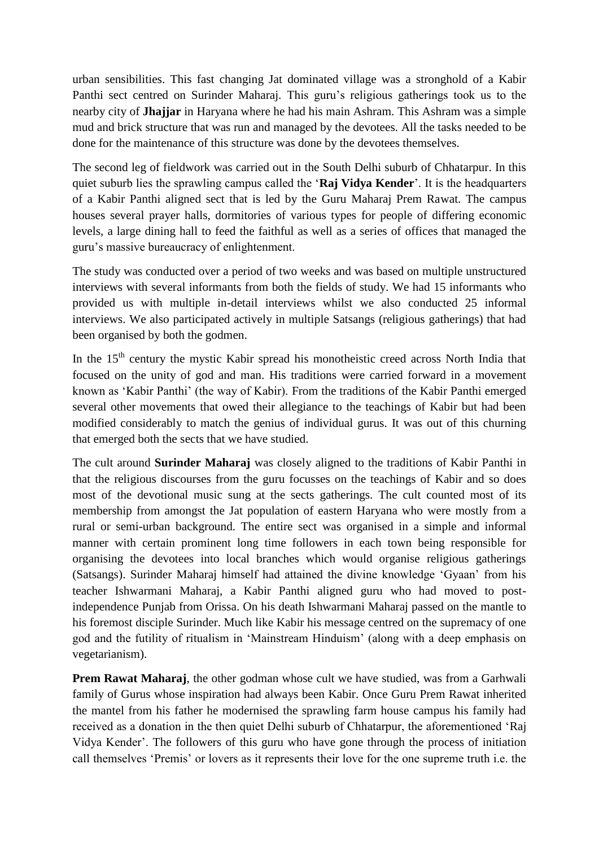urban sensibilities. This fast changing Jat dominated village was a stronghold of a Kabir Panthi sect centred on Surinder Maharaj. This guru's religious gatherings took us to the nearby city of **Jhajjar** in Haryana where he had his main Ashram. This Ashram was a simple mud and brick structure that was run and managed by the devotees. All the tasks needed to be done for the maintenance of this structure was done by the devotees themselves.

The second leg of fieldwork was carried out in the South Delhi suburb of Chhatarpur. In this quiet suburb lies the sprawling campus called the '**Raj Vidya Kender**'. It is the headquarters of a Kabir Panthi aligned sect that is led by the Guru Maharaj Prem Rawat. The campus houses several prayer halls, dormitories of various types for people of differing economic levels, a large dining hall to feed the faithful as well as a series of offices that managed the guru's massive bureaucracy of enlightenment.

The study was conducted over a period of two weeks and was based on multiple unstructured interviews with several informants from both the fields of study. We had 15 informants who provided us with multiple in-detail interviews whilst we also conducted 25 informal interviews. We also participated actively in multiple Satsangs (religious gatherings) that had been organised by both the godmen.

In the 15<sup>th</sup> century the mystic Kabir spread his monotheistic creed across North India that focused on the unity of god and man. His traditions were carried forward in a movement known as 'Kabir Panthi' (the way of Kabir). From the traditions of the Kabir Panthi emerged several other movements that owed their allegiance to the teachings of Kabir but had been modified considerably to match the genius of individual gurus. It was out of this churning that emerged both the sects that we have studied.

The cult around **Surinder Maharaj** was closely aligned to the traditions of Kabir Panthi in that the religious discourses from the guru focusses on the teachings of Kabir and so does most of the devotional music sung at the sects gatherings. The cult counted most of its membership from amongst the Jat population of eastern Haryana who were mostly from a rural or semi-urban background. The entire sect was organised in a simple and informal manner with certain prominent long time followers in each town being responsible for organising the devotees into local branches which would organise religious gatherings (Satsangs). Surinder Maharaj himself had attained the divine knowledge 'Gyaan' from his teacher Ishwarmani Maharaj, a Kabir Panthi aligned guru who had moved to postindependence Punjab from Orissa. On his death Ishwarmani Maharaj passed on the mantle to his foremost disciple Surinder. Much like Kabir his message centred on the supremacy of one god and the futility of ritualism in 'Mainstream Hinduism' (along with a deep emphasis on vegetarianism).

**Prem Rawat Maharaj**, the other godman whose cult we have studied, was from a Garhwali family of Gurus whose inspiration had always been Kabir. Once Guru Prem Rawat inherited the mantel from his father he modernised the sprawling farm house campus his family had received as a donation in the then quiet Delhi suburb of Chhatarpur, the aforementioned 'Raj Vidya Kender'. The followers of this guru who have gone through the process of initiation call themselves 'Premis' or lovers as it represents their love for the one supreme truth i.e. the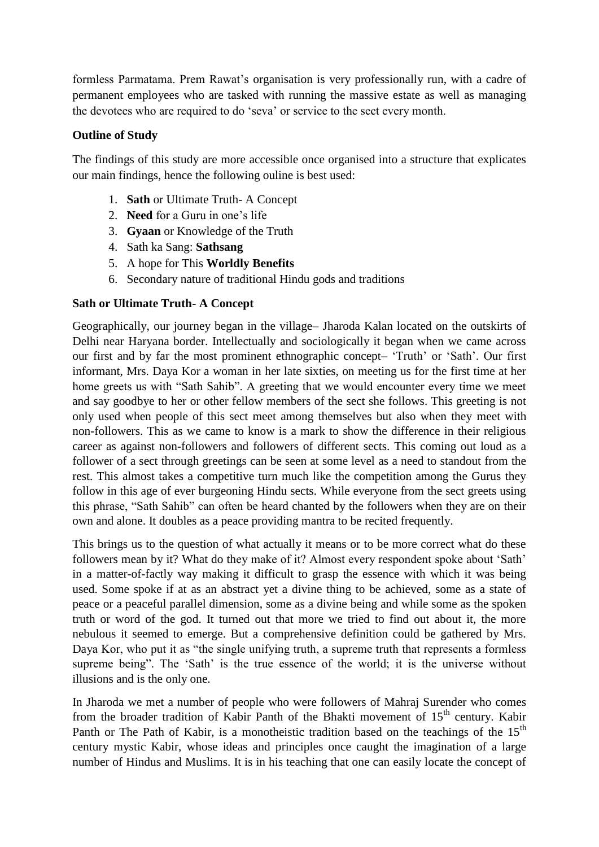formless Parmatama. Prem Rawat's organisation is very professionally run, with a cadre of permanent employees who are tasked with running the massive estate as well as managing the devotees who are required to do 'seva' or service to the sect every month.

## **Outline of Study**

The findings of this study are more accessible once organised into a structure that explicates our main findings, hence the following ouline is best used:

- 1. **Sath** or Ultimate Truth- A Concept
- 2. **Need** for a Guru in one's life
- 3. **Gyaan** or Knowledge of the Truth
- 4. Sath ka Sang: **Sathsang**
- 5. A hope for This **Worldly Benefits**
- 6. Secondary nature of traditional Hindu gods and traditions

## **Sath or Ultimate Truth- A Concept**

Geographically, our journey began in the village– Jharoda Kalan located on the outskirts of Delhi near Haryana border. Intellectually and sociologically it began when we came across our first and by far the most prominent ethnographic concept– 'Truth' or 'Sath'. Our first informant, Mrs. Daya Kor a woman in her late sixties, on meeting us for the first time at her home greets us with "Sath Sahib". A greeting that we would encounter every time we meet and say goodbye to her or other fellow members of the sect she follows. This greeting is not only used when people of this sect meet among themselves but also when they meet with non-followers. This as we came to know is a mark to show the difference in their religious career as against non-followers and followers of different sects. This coming out loud as a follower of a sect through greetings can be seen at some level as a need to standout from the rest. This almost takes a competitive turn much like the competition among the Gurus they follow in this age of ever burgeoning Hindu sects. While everyone from the sect greets using this phrase, "Sath Sahib" can often be heard chanted by the followers when they are on their own and alone. It doubles as a peace providing mantra to be recited frequently.

This brings us to the question of what actually it means or to be more correct what do these followers mean by it? What do they make of it? Almost every respondent spoke about 'Sath' in a matter-of-factly way making it difficult to grasp the essence with which it was being used. Some spoke if at as an abstract yet a divine thing to be achieved, some as a state of peace or a peaceful parallel dimension, some as a divine being and while some as the spoken truth or word of the god. It turned out that more we tried to find out about it, the more nebulous it seemed to emerge. But a comprehensive definition could be gathered by Mrs. Daya Kor, who put it as "the single unifying truth, a supreme truth that represents a formless supreme being". The 'Sath' is the true essence of the world; it is the universe without illusions and is the only one.

In Jharoda we met a number of people who were followers of Mahraj Surender who comes from the broader tradition of Kabir Panth of the Bhakti movement of  $15<sup>th</sup>$  century. Kabir Panth or The Path of Kabir, is a monotheistic tradition based on the teachings of the  $15<sup>th</sup>$ century mystic Kabir, whose ideas and principles once caught the imagination of a large number of Hindus and Muslims. It is in his teaching that one can easily locate the concept of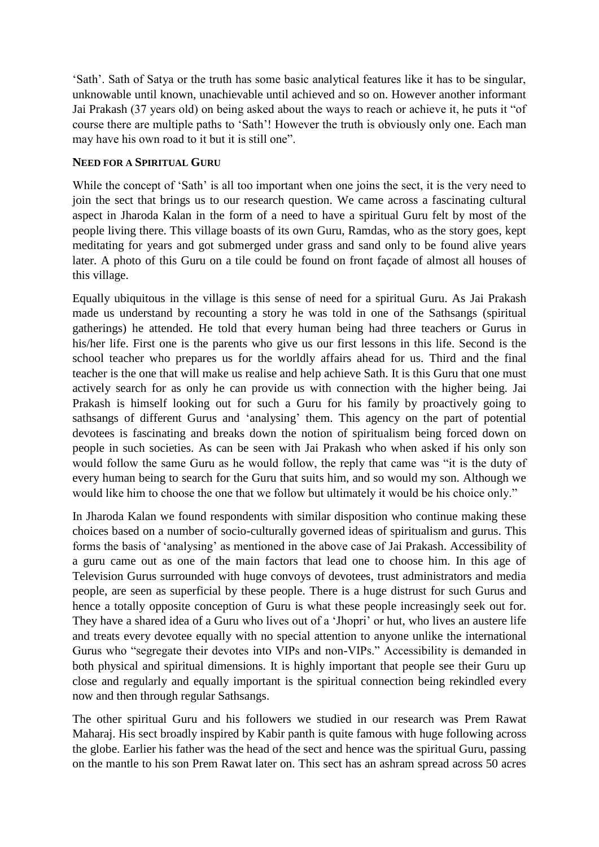'Sath'. Sath of Satya or the truth has some basic analytical features like it has to be singular, unknowable until known, unachievable until achieved and so on. However another informant Jai Prakash (37 years old) on being asked about the ways to reach or achieve it, he puts it "of course there are multiple paths to 'Sath'! However the truth is obviously only one. Each man may have his own road to it but it is still one".

#### **NEED FOR A SPIRITUAL GURU**

While the concept of 'Sath' is all too important when one joins the sect, it is the very need to join the sect that brings us to our research question. We came across a fascinating cultural aspect in Jharoda Kalan in the form of a need to have a spiritual Guru felt by most of the people living there. This village boasts of its own Guru, Ramdas, who as the story goes, kept meditating for years and got submerged under grass and sand only to be found alive years later. A photo of this Guru on a tile could be found on front façade of almost all houses of this village.

Equally ubiquitous in the village is this sense of need for a spiritual Guru. As Jai Prakash made us understand by recounting a story he was told in one of the Sathsangs (spiritual gatherings) he attended. He told that every human being had three teachers or Gurus in his/her life. First one is the parents who give us our first lessons in this life. Second is the school teacher who prepares us for the worldly affairs ahead for us. Third and the final teacher is the one that will make us realise and help achieve Sath. It is this Guru that one must actively search for as only he can provide us with connection with the higher being. Jai Prakash is himself looking out for such a Guru for his family by proactively going to sathsangs of different Gurus and 'analysing' them. This agency on the part of potential devotees is fascinating and breaks down the notion of spiritualism being forced down on people in such societies. As can be seen with Jai Prakash who when asked if his only son would follow the same Guru as he would follow, the reply that came was "it is the duty of every human being to search for the Guru that suits him, and so would my son. Although we would like him to choose the one that we follow but ultimately it would be his choice only."

In Jharoda Kalan we found respondents with similar disposition who continue making these choices based on a number of socio-culturally governed ideas of spiritualism and gurus. This forms the basis of 'analysing' as mentioned in the above case of Jai Prakash. Accessibility of a guru came out as one of the main factors that lead one to choose him. In this age of Television Gurus surrounded with huge convoys of devotees, trust administrators and media people, are seen as superficial by these people. There is a huge distrust for such Gurus and hence a totally opposite conception of Guru is what these people increasingly seek out for. They have a shared idea of a Guru who lives out of a 'Jhopri' or hut, who lives an austere life and treats every devotee equally with no special attention to anyone unlike the international Gurus who "segregate their devotes into VIPs and non-VIPs." Accessibility is demanded in both physical and spiritual dimensions. It is highly important that people see their Guru up close and regularly and equally important is the spiritual connection being rekindled every now and then through regular Sathsangs.

The other spiritual Guru and his followers we studied in our research was Prem Rawat Maharaj. His sect broadly inspired by Kabir panth is quite famous with huge following across the globe. Earlier his father was the head of the sect and hence was the spiritual Guru, passing on the mantle to his son Prem Rawat later on. This sect has an ashram spread across 50 acres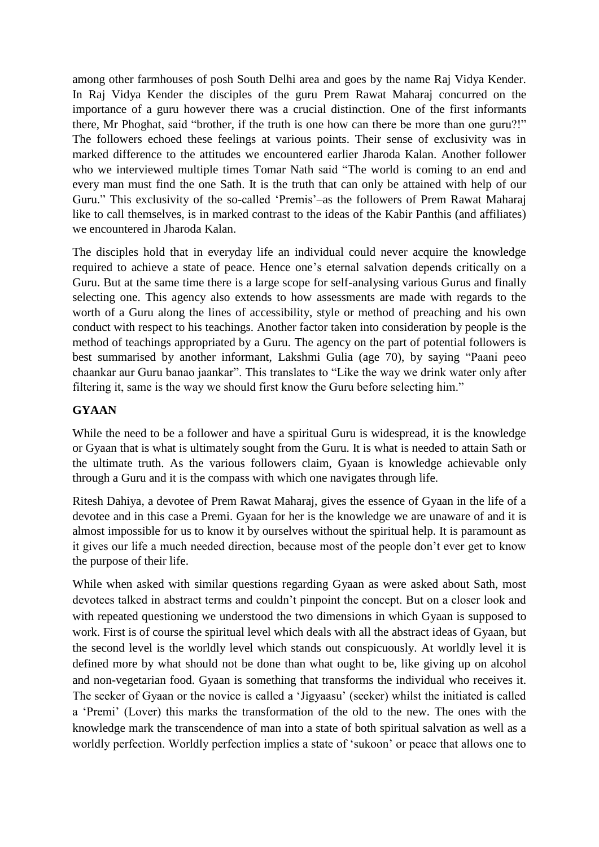among other farmhouses of posh South Delhi area and goes by the name Raj Vidya Kender. In Raj Vidya Kender the disciples of the guru Prem Rawat Maharaj concurred on the importance of a guru however there was a crucial distinction. One of the first informants there, Mr Phoghat, said "brother, if the truth is one how can there be more than one guru?!" The followers echoed these feelings at various points. Their sense of exclusivity was in marked difference to the attitudes we encountered earlier Jharoda Kalan. Another follower who we interviewed multiple times Tomar Nath said "The world is coming to an end and every man must find the one Sath. It is the truth that can only be attained with help of our Guru." This exclusivity of the so-called 'Premis'–as the followers of Prem Rawat Maharaj like to call themselves, is in marked contrast to the ideas of the Kabir Panthis (and affiliates) we encountered in Jharoda Kalan.

The disciples hold that in everyday life an individual could never acquire the knowledge required to achieve a state of peace. Hence one's eternal salvation depends critically on a Guru. But at the same time there is a large scope for self-analysing various Gurus and finally selecting one. This agency also extends to how assessments are made with regards to the worth of a Guru along the lines of accessibility, style or method of preaching and his own conduct with respect to his teachings. Another factor taken into consideration by people is the method of teachings appropriated by a Guru. The agency on the part of potential followers is best summarised by another informant, Lakshmi Gulia (age 70), by saying "Paani peeo chaankar aur Guru banao jaankar". This translates to "Like the way we drink water only after filtering it, same is the way we should first know the Guru before selecting him."

#### **GYAAN**

While the need to be a follower and have a spiritual Guru is widespread, it is the knowledge or Gyaan that is what is ultimately sought from the Guru. It is what is needed to attain Sath or the ultimate truth. As the various followers claim, Gyaan is knowledge achievable only through a Guru and it is the compass with which one navigates through life.

Ritesh Dahiya, a devotee of Prem Rawat Maharaj, gives the essence of Gyaan in the life of a devotee and in this case a Premi. Gyaan for her is the knowledge we are unaware of and it is almost impossible for us to know it by ourselves without the spiritual help. It is paramount as it gives our life a much needed direction, because most of the people don't ever get to know the purpose of their life.

While when asked with similar questions regarding Gyaan as were asked about Sath, most devotees talked in abstract terms and couldn't pinpoint the concept. But on a closer look and with repeated questioning we understood the two dimensions in which Gyaan is supposed to work. First is of course the spiritual level which deals with all the abstract ideas of Gyaan, but the second level is the worldly level which stands out conspicuously. At worldly level it is defined more by what should not be done than what ought to be, like giving up on alcohol and non-vegetarian food. Gyaan is something that transforms the individual who receives it. The seeker of Gyaan or the novice is called a 'Jigyaasu' (seeker) whilst the initiated is called a 'Premi' (Lover) this marks the transformation of the old to the new. The ones with the knowledge mark the transcendence of man into a state of both spiritual salvation as well as a worldly perfection. Worldly perfection implies a state of 'sukoon' or peace that allows one to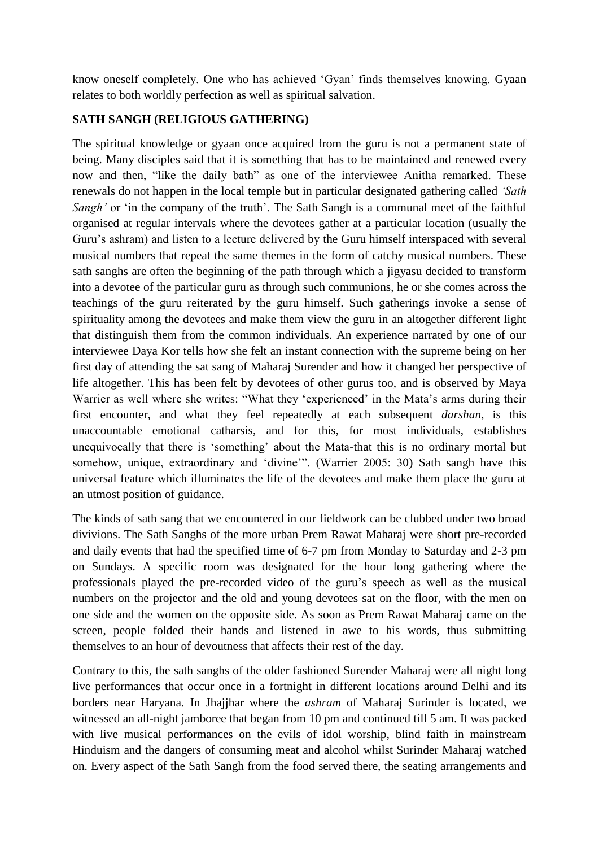know oneself completely. One who has achieved 'Gyan' finds themselves knowing. Gyaan relates to both worldly perfection as well as spiritual salvation.

## **SATH SANGH (RELIGIOUS GATHERING)**

The spiritual knowledge or gyaan once acquired from the guru is not a permanent state of being. Many disciples said that it is something that has to be maintained and renewed every now and then, "like the daily bath" as one of the interviewee Anitha remarked. These renewals do not happen in the local temple but in particular designated gathering called *'Sath Sangh'* or 'in the company of the truth'. The Sath Sangh is a communal meet of the faithful organised at regular intervals where the devotees gather at a particular location (usually the Guru's ashram) and listen to a lecture delivered by the Guru himself interspaced with several musical numbers that repeat the same themes in the form of catchy musical numbers. These sath sanghs are often the beginning of the path through which a jigyasu decided to transform into a devotee of the particular guru as through such communions, he or she comes across the teachings of the guru reiterated by the guru himself. Such gatherings invoke a sense of spirituality among the devotees and make them view the guru in an altogether different light that distinguish them from the common individuals. An experience narrated by one of our interviewee Daya Kor tells how she felt an instant connection with the supreme being on her first day of attending the sat sang of Maharaj Surender and how it changed her perspective of life altogether. This has been felt by devotees of other gurus too, and is observed by Maya Warrier as well where she writes: "What they 'experienced' in the Mata's arms during their first encounter, and what they feel repeatedly at each subsequent *darshan*, is this unaccountable emotional catharsis, and for this, for most individuals, establishes unequivocally that there is 'something' about the Mata-that this is no ordinary mortal but somehow, unique, extraordinary and 'divine'". (Warrier 2005: 30) Sath sangh have this universal feature which illuminates the life of the devotees and make them place the guru at an utmost position of guidance.

The kinds of sath sang that we encountered in our fieldwork can be clubbed under two broad divivions. The Sath Sanghs of the more urban Prem Rawat Maharaj were short pre-recorded and daily events that had the specified time of 6-7 pm from Monday to Saturday and 2-3 pm on Sundays. A specific room was designated for the hour long gathering where the professionals played the pre-recorded video of the guru's speech as well as the musical numbers on the projector and the old and young devotees sat on the floor, with the men on one side and the women on the opposite side. As soon as Prem Rawat Maharaj came on the screen, people folded their hands and listened in awe to his words, thus submitting themselves to an hour of devoutness that affects their rest of the day.

Contrary to this, the sath sanghs of the older fashioned Surender Maharaj were all night long live performances that occur once in a fortnight in different locations around Delhi and its borders near Haryana. In Jhajjhar where the *ashram* of Maharaj Surinder is located, we witnessed an all-night jamboree that began from 10 pm and continued till 5 am. It was packed with live musical performances on the evils of idol worship, blind faith in mainstream Hinduism and the dangers of consuming meat and alcohol whilst Surinder Maharaj watched on. Every aspect of the Sath Sangh from the food served there, the seating arrangements and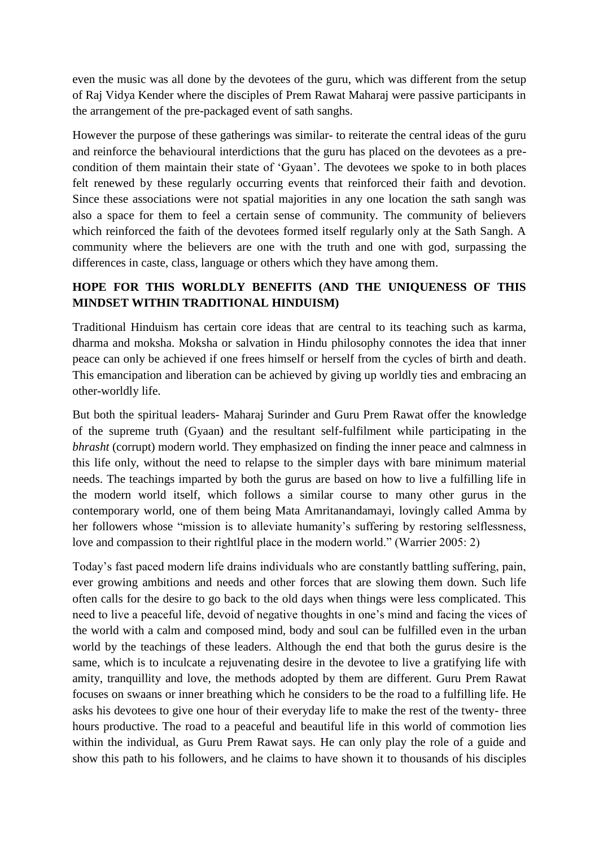even the music was all done by the devotees of the guru, which was different from the setup of Raj Vidya Kender where the disciples of Prem Rawat Maharaj were passive participants in the arrangement of the pre-packaged event of sath sanghs.

However the purpose of these gatherings was similar- to reiterate the central ideas of the guru and reinforce the behavioural interdictions that the guru has placed on the devotees as a precondition of them maintain their state of 'Gyaan'. The devotees we spoke to in both places felt renewed by these regularly occurring events that reinforced their faith and devotion. Since these associations were not spatial majorities in any one location the sath sangh was also a space for them to feel a certain sense of community. The community of believers which reinforced the faith of the devotees formed itself regularly only at the Sath Sangh. A community where the believers are one with the truth and one with god, surpassing the differences in caste, class, language or others which they have among them.

## **HOPE FOR THIS WORLDLY BENEFITS (AND THE UNIQUENESS OF THIS MINDSET WITHIN TRADITIONAL HINDUISM)**

Traditional Hinduism has certain core ideas that are central to its teaching such as karma, dharma and moksha. Moksha or salvation in Hindu philosophy connotes the idea that inner peace can only be achieved if one frees himself or herself from the cycles of birth and death. This emancipation and liberation can be achieved by giving up worldly ties and embracing an other-worldly life.

But both the spiritual leaders- Maharaj Surinder and Guru Prem Rawat offer the knowledge of the supreme truth (Gyaan) and the resultant self-fulfilment while participating in the *bhrasht* (corrupt) modern world. They emphasized on finding the inner peace and calmness in this life only, without the need to relapse to the simpler days with bare minimum material needs. The teachings imparted by both the gurus are based on how to live a fulfilling life in the modern world itself, which follows a similar course to many other gurus in the contemporary world, one of them being Mata Amritanandamayi, lovingly called Amma by her followers whose "mission is to alleviate humanity's suffering by restoring selflessness, love and compassion to their rightlful place in the modern world." (Warrier 2005: 2)

Today's fast paced modern life drains individuals who are constantly battling suffering, pain, ever growing ambitions and needs and other forces that are slowing them down. Such life often calls for the desire to go back to the old days when things were less complicated. This need to live a peaceful life, devoid of negative thoughts in one's mind and facing the vices of the world with a calm and composed mind, body and soul can be fulfilled even in the urban world by the teachings of these leaders. Although the end that both the gurus desire is the same, which is to inculcate a rejuvenating desire in the devotee to live a gratifying life with amity, tranquillity and love, the methods adopted by them are different. Guru Prem Rawat focuses on swaans or inner breathing which he considers to be the road to a fulfilling life. He asks his devotees to give one hour of their everyday life to make the rest of the twenty- three hours productive. The road to a peaceful and beautiful life in this world of commotion lies within the individual, as Guru Prem Rawat says. He can only play the role of a guide and show this path to his followers, and he claims to have shown it to thousands of his disciples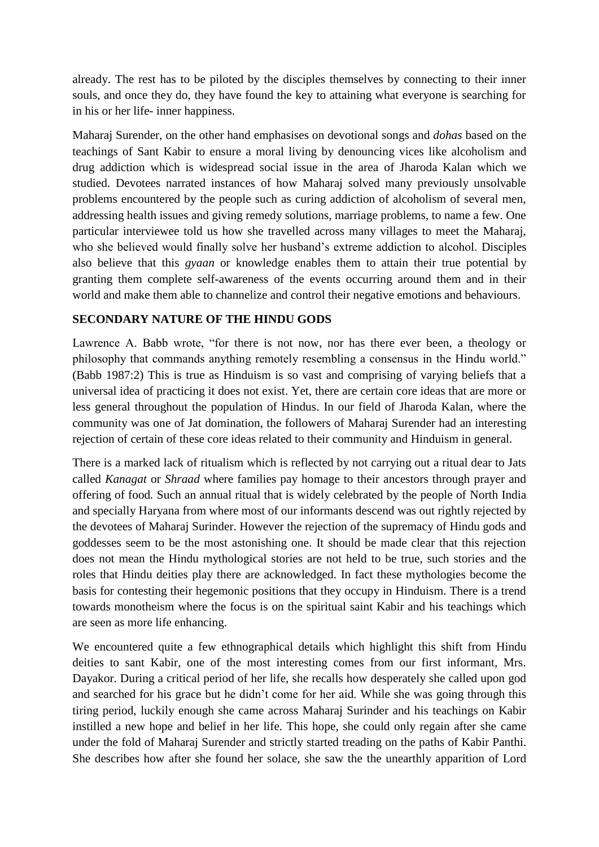already. The rest has to be piloted by the disciples themselves by connecting to their inner souls, and once they do, they have found the key to attaining what everyone is searching for in his or her life- inner happiness.

Maharaj Surender, on the other hand emphasises on devotional songs and *dohas* based on the teachings of Sant Kabir to ensure a moral living by denouncing vices like alcoholism and drug addiction which is widespread social issue in the area of Jharoda Kalan which we studied. Devotees narrated instances of how Maharaj solved many previously unsolvable problems encountered by the people such as curing addiction of alcoholism of several men, addressing health issues and giving remedy solutions, marriage problems, to name a few. One particular interviewee told us how she travelled across many villages to meet the Maharaj, who she believed would finally solve her husband's extreme addiction to alcohol. Disciples also believe that this *gyaan* or knowledge enables them to attain their true potential by granting them complete self-awareness of the events occurring around them and in their world and make them able to channelize and control their negative emotions and behaviours.

## **SECONDARY NATURE OF THE HINDU GODS**

Lawrence A. Babb wrote, "for there is not now, nor has there ever been, a theology or philosophy that commands anything remotely resembling a consensus in the Hindu world." (Babb 1987:2) This is true as Hinduism is so vast and comprising of varying beliefs that a universal idea of practicing it does not exist. Yet, there are certain core ideas that are more or less general throughout the population of Hindus. In our field of Jharoda Kalan, where the community was one of Jat domination, the followers of Maharaj Surender had an interesting rejection of certain of these core ideas related to their community and Hinduism in general.

There is a marked lack of ritualism which is reflected by not carrying out a ritual dear to Jats called *Kanagat* or *Shraad* where families pay homage to their ancestors through prayer and offering of food*.* Such an annual ritual that is widely celebrated by the people of North India and specially Haryana from where most of our informants descend was out rightly rejected by the devotees of Maharaj Surinder. However the rejection of the supremacy of Hindu gods and goddesses seem to be the most astonishing one. It should be made clear that this rejection does not mean the Hindu mythological stories are not held to be true, such stories and the roles that Hindu deities play there are acknowledged. In fact these mythologies become the basis for contesting their hegemonic positions that they occupy in Hinduism. There is a trend towards monotheism where the focus is on the spiritual saint Kabir and his teachings which are seen as more life enhancing.

We encountered quite a few ethnographical details which highlight this shift from Hindu deities to sant Kabir, one of the most interesting comes from our first informant, Mrs. Dayakor. During a critical period of her life, she recalls how desperately she called upon god and searched for his grace but he didn't come for her aid. While she was going through this tiring period, luckily enough she came across Maharaj Surinder and his teachings on Kabir instilled a new hope and belief in her life. This hope, she could only regain after she came under the fold of Maharaj Surender and strictly started treading on the paths of Kabir Panthi. She describes how after she found her solace, she saw the the unearthly apparition of Lord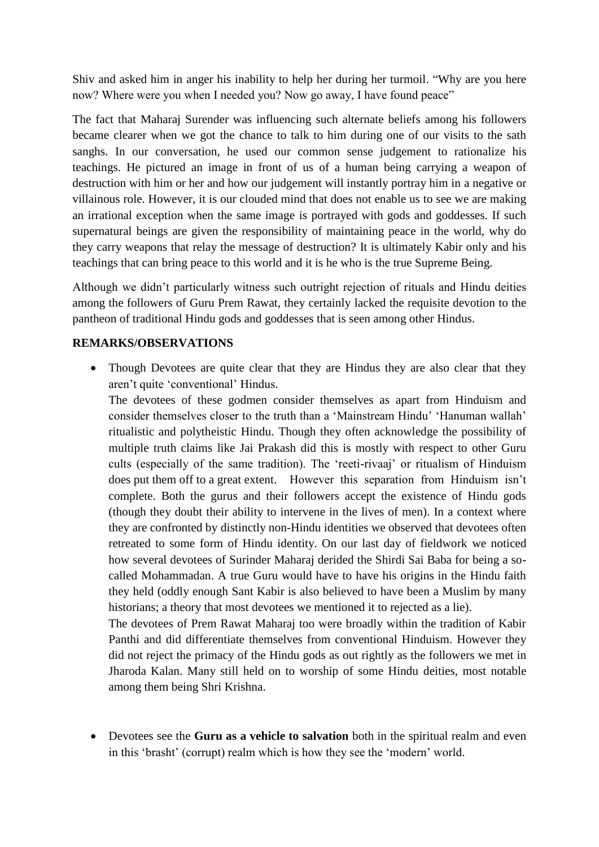Shiv and asked him in anger his inability to help her during her turmoil. "Why are you here now? Where were you when I needed you? Now go away, I have found peace"

The fact that Maharaj Surender was influencing such alternate beliefs among his followers became clearer when we got the chance to talk to him during one of our visits to the sath sanghs. In our conversation, he used our common sense judgement to rationalize his teachings. He pictured an image in front of us of a human being carrying a weapon of destruction with him or her and how our judgement will instantly portray him in a negative or villainous role. However, it is our clouded mind that does not enable us to see we are making an irrational exception when the same image is portrayed with gods and goddesses. If such supernatural beings are given the responsibility of maintaining peace in the world, why do they carry weapons that relay the message of destruction? It is ultimately Kabir only and his teachings that can bring peace to this world and it is he who is the true Supreme Being.

Although we didn't particularly witness such outright rejection of rituals and Hindu deities among the followers of Guru Prem Rawat, they certainly lacked the requisite devotion to the pantheon of traditional Hindu gods and goddesses that is seen among other Hindus.

## **REMARKS/OBSERVATIONS**

• Though Devotees are quite clear that they are Hindus they are also clear that they aren't quite 'conventional' Hindus.

The devotees of these godmen consider themselves as apart from Hinduism and consider themselves closer to the truth than a 'Mainstream Hindu' 'Hanuman wallah' ritualistic and polytheistic Hindu. Though they often acknowledge the possibility of multiple truth claims like Jai Prakash did this is mostly with respect to other Guru cults (especially of the same tradition). The 'reeti-rivaaj' or ritualism of Hinduism does put them off to a great extent. However this separation from Hinduism isn't complete. Both the gurus and their followers accept the existence of Hindu gods (though they doubt their ability to intervene in the lives of men). In a context where they are confronted by distinctly non-Hindu identities we observed that devotees often retreated to some form of Hindu identity. On our last day of fieldwork we noticed how several devotees of Surinder Maharaj derided the Shirdi Sai Baba for being a socalled Mohammadan. A true Guru would have to have his origins in the Hindu faith they held (oddly enough Sant Kabir is also believed to have been a Muslim by many historians; a theory that most devotees we mentioned it to rejected as a lie).

The devotees of Prem Rawat Maharaj too were broadly within the tradition of Kabir Panthi and did differentiate themselves from conventional Hinduism. However they did not reject the primacy of the Hindu gods as out rightly as the followers we met in Jharoda Kalan. Many still held on to worship of some Hindu deities, most notable among them being Shri Krishna.

 Devotees see the **Guru as a vehicle to salvation** both in the spiritual realm and even in this 'brasht' (corrupt) realm which is how they see the 'modern' world.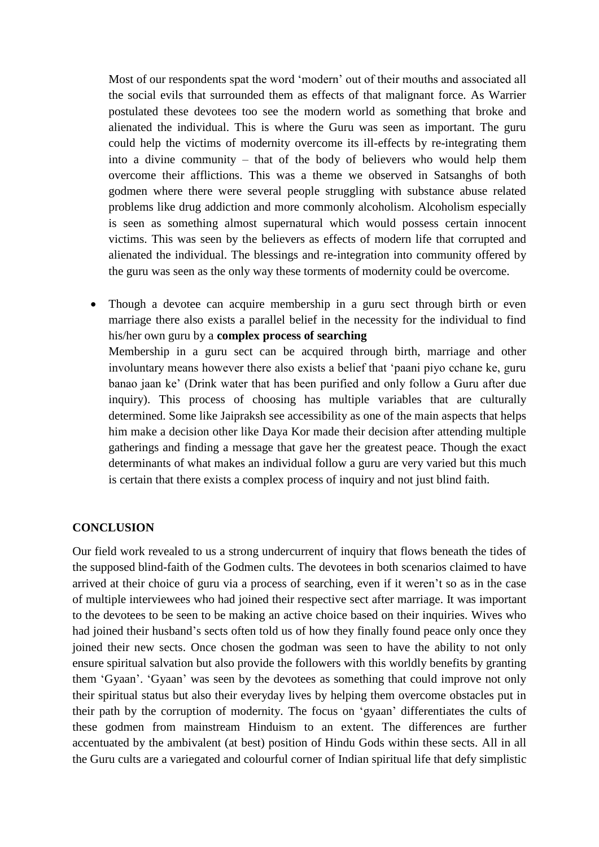Most of our respondents spat the word 'modern' out of their mouths and associated all the social evils that surrounded them as effects of that malignant force. As Warrier postulated these devotees too see the modern world as something that broke and alienated the individual. This is where the Guru was seen as important. The guru could help the victims of modernity overcome its ill-effects by re-integrating them into a divine community – that of the body of believers who would help them overcome their afflictions. This was a theme we observed in Satsanghs of both godmen where there were several people struggling with substance abuse related problems like drug addiction and more commonly alcoholism. Alcoholism especially is seen as something almost supernatural which would possess certain innocent victims. This was seen by the believers as effects of modern life that corrupted and alienated the individual. The blessings and re-integration into community offered by the guru was seen as the only way these torments of modernity could be overcome.

 Though a devotee can acquire membership in a guru sect through birth or even marriage there also exists a parallel belief in the necessity for the individual to find his/her own guru by a **complex process of searching** Membership in a guru sect can be acquired through birth, marriage and other involuntary means however there also exists a belief that 'paani piyo cchane ke, guru banao jaan ke' (Drink water that has been purified and only follow a Guru after due inquiry). This process of choosing has multiple variables that are culturally determined. Some like Jaipraksh see accessibility as one of the main aspects that helps him make a decision other like Daya Kor made their decision after attending multiple gatherings and finding a message that gave her the greatest peace. Though the exact determinants of what makes an individual follow a guru are very varied but this much is certain that there exists a complex process of inquiry and not just blind faith.

#### **CONCLUSION**

Our field work revealed to us a strong undercurrent of inquiry that flows beneath the tides of the supposed blind-faith of the Godmen cults. The devotees in both scenarios claimed to have arrived at their choice of guru via a process of searching, even if it weren't so as in the case of multiple interviewees who had joined their respective sect after marriage. It was important to the devotees to be seen to be making an active choice based on their inquiries. Wives who had joined their husband's sects often told us of how they finally found peace only once they joined their new sects. Once chosen the godman was seen to have the ability to not only ensure spiritual salvation but also provide the followers with this worldly benefits by granting them 'Gyaan'. 'Gyaan' was seen by the devotees as something that could improve not only their spiritual status but also their everyday lives by helping them overcome obstacles put in their path by the corruption of modernity. The focus on 'gyaan' differentiates the cults of these godmen from mainstream Hinduism to an extent. The differences are further accentuated by the ambivalent (at best) position of Hindu Gods within these sects. All in all the Guru cults are a variegated and colourful corner of Indian spiritual life that defy simplistic